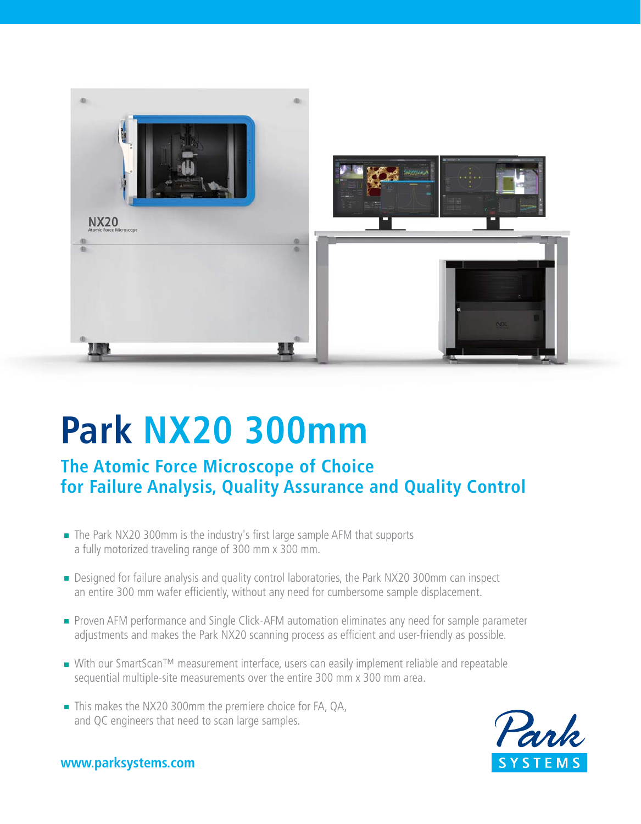

# **Park NX20 300mm**

**The Atomic Force Microscope of Choice for Failure Analysis, Quality Assurance and Quality Control**

- The Park NX20 300mm is the industry's first large sample AFM that supports a fully motorized traveling range of 300 mm x 300 mm.
- Designed for failure analysis and quality control laboratories, the Park NX20 300mm can inspect an entire 300 mm wafer efficiently, without any need for cumbersome sample displacement.
- **Proven AFM performance and Single Click-AFM automation eliminates any need for sample parameter** adjustments and makes the Park NX20 scanning process as efficient and user-friendly as possible.
- With our SmartScan™ measurement interface, users can easily implement reliable and repeatable sequential multiple-site measurements over the entire 300 mm x 300 mm area.
- This makes the NX20 300mm the premiere choice for FA, QA, and QC engineers that need to scan large samples.



### **www.parksystems.com**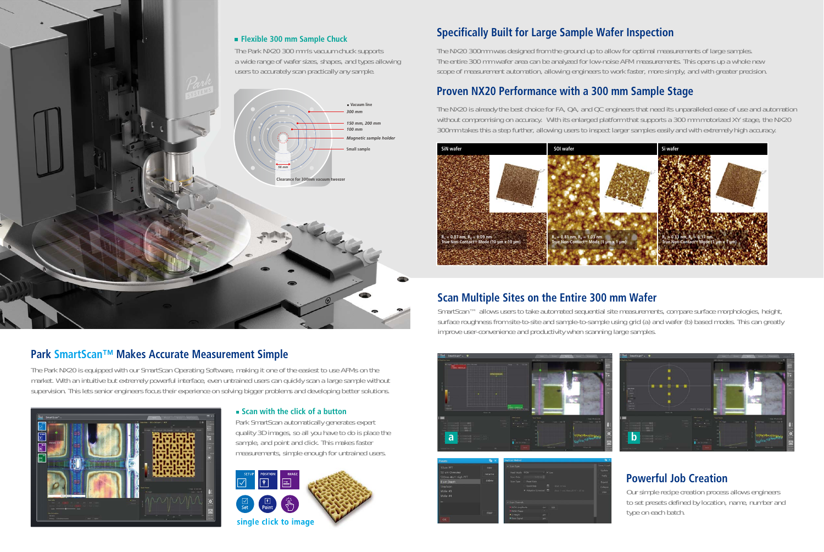## **Specifically Built for Large Sample Wafer Inspection**

The NX20 300mm was designed from the ground up to allow for optimal measurements of large samples. The entire 300 mm wafer area can be analyzed for low-noise AFM measurements. This opens up a whole new scope of measurement automation, allowing engineers to work faster, more simply, and with greater precision.

## **Proven NX20 Performance with a 300 mm Sample Stage**

The NX20 is already the best choice for FA, QA, and QC engineers that need its unparalleled ease of use and automation without compromising on accuracy. With its enlarged platform that supports a 300 mm motorized XY stage, the NX20 300mm takes this a step further, allowing users to inspect larger samples easily and with extremely high accuracy.



#### **Flexible 300 mm Sample Chuck**

The Park NX20 300 mm's vacuum chuck supports a wide range of wafer sizes, shapes, and types allowing users to accurately scan practically any sample.

## **Park SmartScan™ Makes Accurate Measurement Simple**

SmartScan™ allows users to take automated sequential site measurements, compare surface morphologies, height, surface roughness from site-to-site and sample-to-sample using grid (a) and wafer (b) based modes. This can greatly improve user-convenience and productivity when scanning large samples.

The Park NX20 is equipped with our SmartScan Operating Software, making it one of the easiest to use AFMs on the market. With an intuitive but extremely powerful interface, even untrained users can quickly scan a large sample without supervision. This lets senior engineers focus their experience on solving bigger problems and developing better solutions.



### **Scan with the click of a button**

Park SmartScan automatically generates expert quality 3D images, so all you have to do is place the sample, and point and click. This makes faster measurements, simple enough for untrained users.



## **Powerful Job Creation**

Our simple recipe creation process allows engineers to set presets defined by location, name, number and type on each batch.

## **Scan Multiple Sites on the Entire 300 mm Wafer**